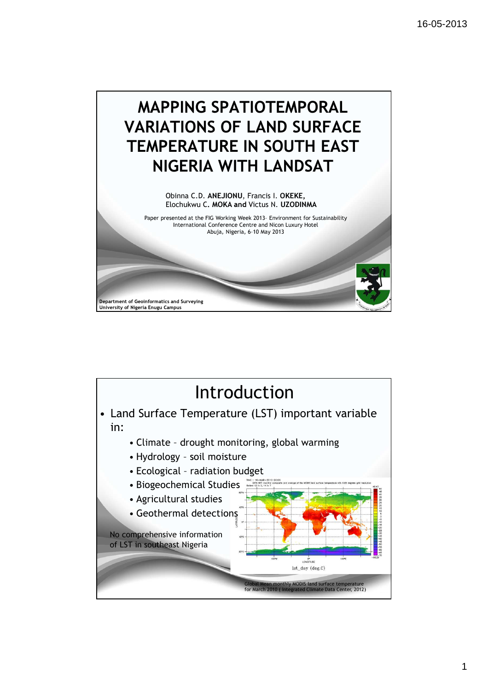

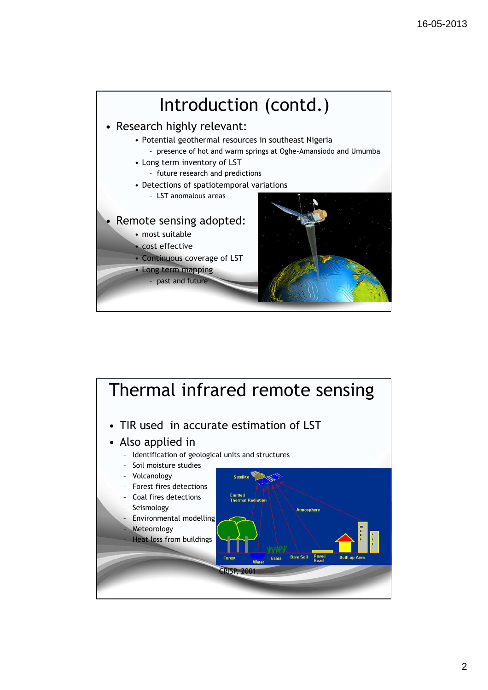

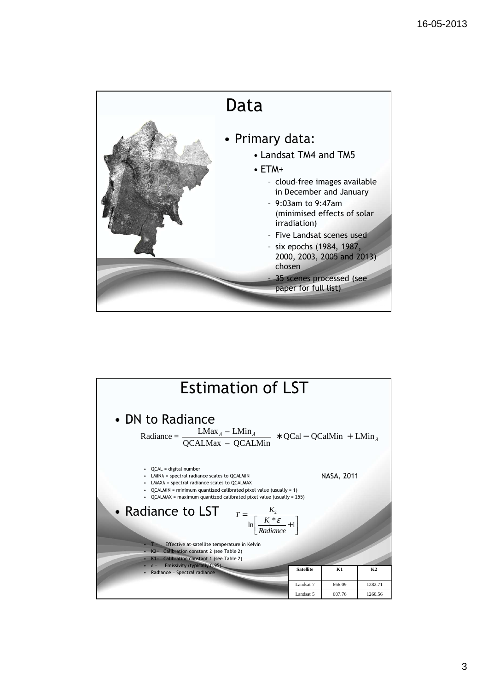

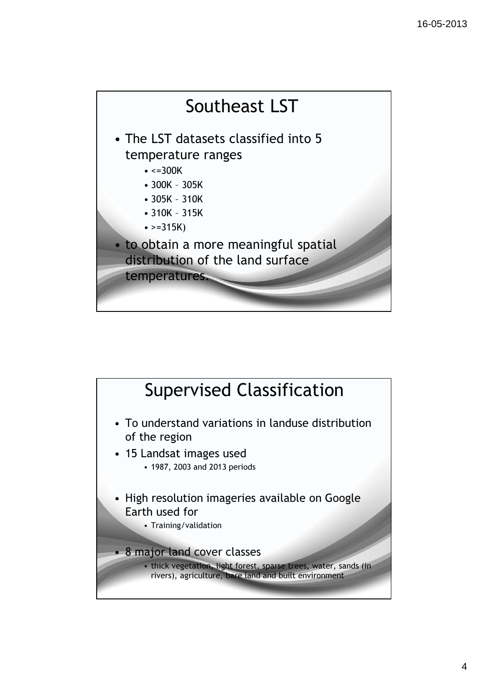

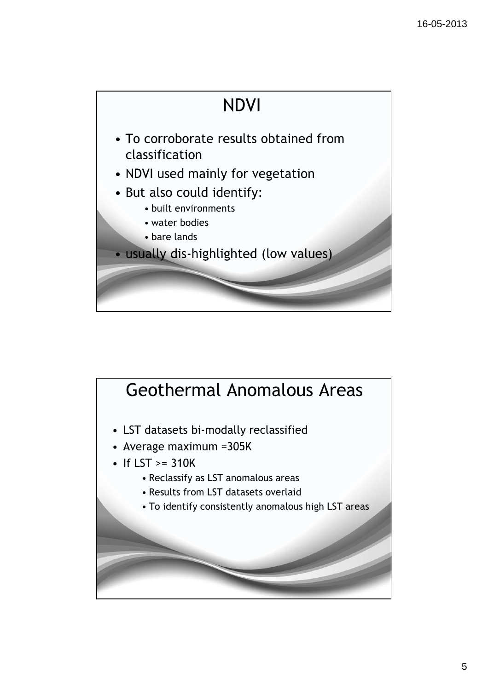

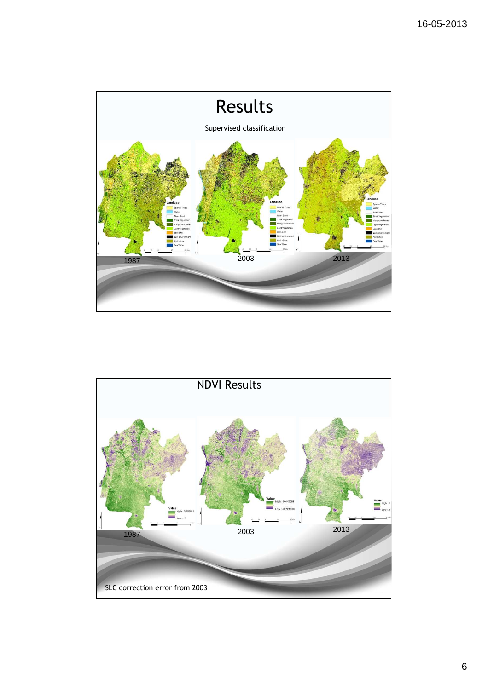

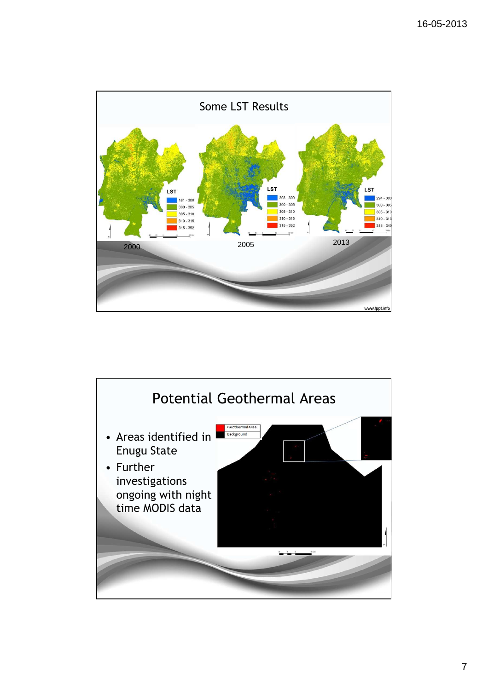

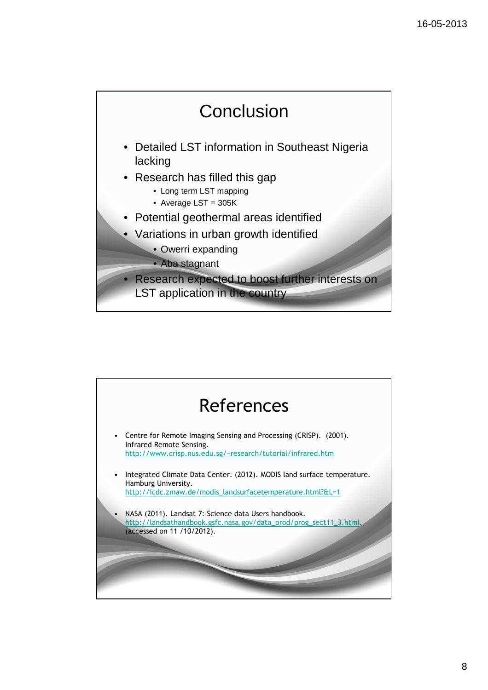